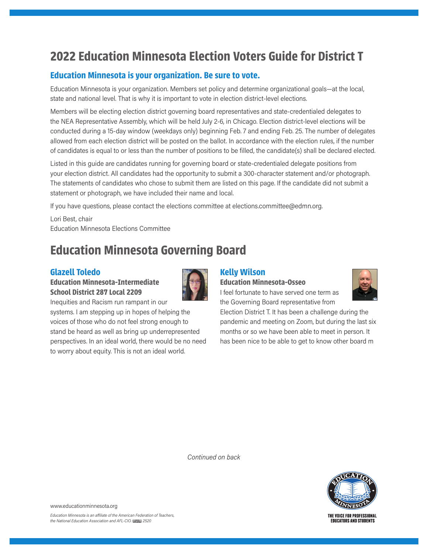# **2022 Education Minnesota Election Voters Guide for District T**

### **Education Minnesota is your organization. Be sure to vote.**

Education Minnesota is your organization. Members set policy and determine organizational goals—at the local, state and national level. That is why it is important to vote in election district-level elections.

Members will be electing election district governing board representatives and state-credentialed delegates to the NEA Representative Assembly, which will be held July 2-6, in Chicago. Election district-level elections will be conducted during a 15-day window (weekdays only) beginning Feb. 7 and ending Feb. 25. The number of delegates allowed from each election district will be posted on the ballot. In accordance with the election rules, if the number of candidates is equal to or less than the number of positions to be filled, the candidate(s) shall be declared elected.

Listed in this guide are candidates running for governing board or state-credentialed delegate positions from your election district. All candidates had the opportunity to submit a 300-character statement and/or photograph. The statements of candidates who chose to submit them are listed on this page. If the candidate did not submit a statement or photograph, we have included their name and local.

If you have questions, please contact the elections committee at elections.committee@edmn.org.

Lori Best, chair Education Minnesota Elections Committee

## **Education Minnesota Governing Board**

#### **Glazell Toledo**

### **Education Minnesota-Intermediate School District 287 Local 2209**



Inequities and Racism run rampant in our systems. I am stepping up in hopes of helping the voices of those who do not feel strong enough to stand be heard as well as bring up underrepresented perspectives. In an ideal world, there would be no need to worry about equity. This is not an ideal world.

## **Kelly Wilson**

**Education Minnesota-Osseo**

I feel fortunate to have served one term as the Governing Board representative from

Election District T. It has been a challenge during the pandemic and meeting on Zoom, but during the last six months or so we have been able to meet in person. It has been nice to be able to get to know other board m

*Continued on back*



www.educationminnesota.org

THE VOICE FOR PROFESSIONAL **EDUCATORS AND STUDENTS**